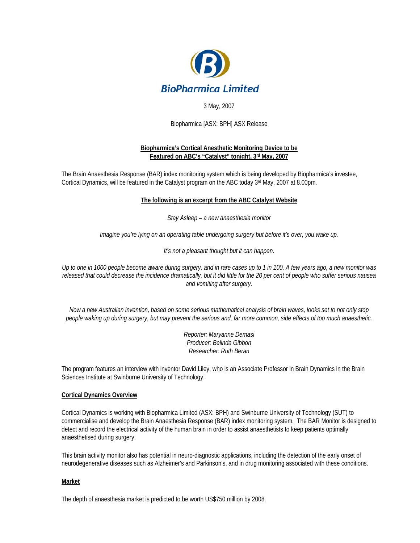

# 3 May, 2007

Biopharmica [ASX: BPH] ASX Release

#### **Biopharmica's Cortical Anesthetic Monitoring Device to be Featured on ABC's "Catalyst" tonight, 3rd May, 2007**

The Brain Anaesthesia Response (BAR) index monitoring system which is being developed by Biopharmica's investee, Cortical Dynamics, will be featured in the Catalyst program on the ABC today 3rd May, 2007 at 8.00pm.

#### **The following is an excerpt from the ABC Catalyst Website**

*Stay Asleep – a new anaesthesia monitor* 

*Imagine you're lying on an operating table undergoing surgery but before it's over, you wake up.* 

*It's not a pleasant thought but it can happen.* 

*Up to one in 1000 people become aware during surgery, and in rare cases up to 1 in 100. A few years ago, a new monitor was released that could decrease the incidence dramatically, but it did little for the 20 per cent of people who suffer serious nausea and vomiting after surgery.* 

*Now a new Australian invention, based on some serious mathematical analysis of brain waves, looks set to not only stop people waking up during surgery, but may prevent the serious and, far more common, side effects of too much anaesthetic.* 

> *Reporter: Maryanne Demasi Producer: Belinda Gibbon Researcher: Ruth Beran*

The program features an interview with inventor David Liley, who is an Associate Professor in Brain Dynamics in the Brain Sciences Institute at Swinburne University of Technology.

#### **Cortical Dynamics Overview**

Cortical Dynamics is working with Biopharmica Limited (ASX: BPH) and Swinburne University of Technology (SUT) to commercialise and develop the Brain Anaesthesia Response (BAR) index monitoring system. The BAR Monitor is designed to detect and record the electrical activity of the human brain in order to assist anaesthetists to keep patients optimally anaesthetised during surgery.

This brain activity monitor also has potential in neuro-diagnostic applications, including the detection of the early onset of neurodegenerative diseases such as Alzheimer's and Parkinson's, and in drug monitoring associated with these conditions.

#### **Market**

The depth of anaesthesia market is predicted to be worth US\$750 million by 2008.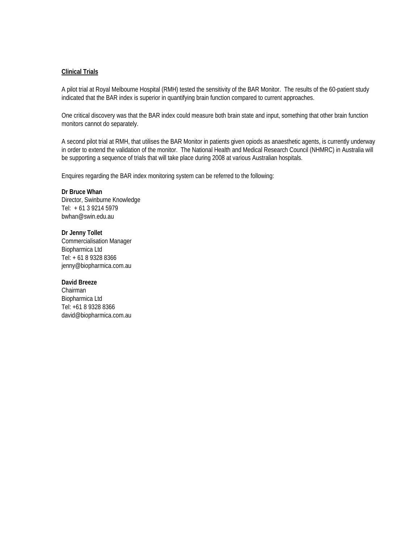#### **Clinical Trials**

A pilot trial at Royal Melbourne Hospital (RMH) tested the sensitivity of the BAR Monitor. The results of the 60-patient study indicated that the BAR index is superior in quantifying brain function compared to current approaches.

One critical discovery was that the BAR index could measure both brain state and input, something that other brain function monitors cannot do separately.

A second pilot trial at RMH, that utilises the BAR Monitor in patients given opiods as anaesthetic agents, is currently underway in order to extend the validation of the monitor. The National Health and Medical Research Council (NHMRC) in Australia will be supporting a sequence of trials that will take place during 2008 at various Australian hospitals.

Enquires regarding the BAR index monitoring system can be referred to the following:

**Dr Bruce Whan**  Director, Swinburne Knowledge Tel: + 61 3 9214 5979 bwhan@swin.edu.au

**Dr Jenny Tollet**  Commercialisation Manager Biopharmica Ltd Tel: + 61 8 9328 8366 jenny@biopharmica.com.au

**David Breeze**  Chairman Biopharmica Ltd Tel: +61 8 9328 8366 david@biopharmica.com.au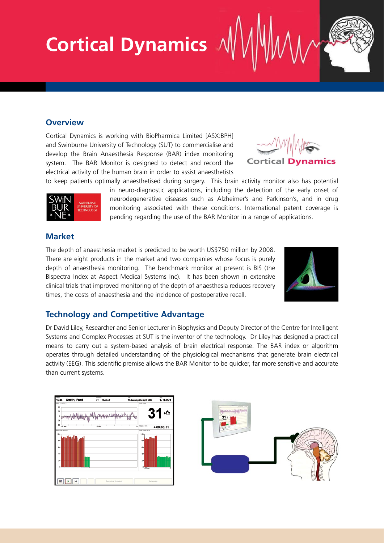# **Cortical Dynamics**

# **Overview**

Cortical Dynamics is working with BioPharmica Limited [ASX:BPH] and Swinburne University of Technology (SUT) to commercialise and develop the Brain Anaesthesia Response (BAR) index monitoring system. The BAR Monitor is designed to detect and record the electrical activity of the human brain in order to assist anaesthetists





to keep patients optimally anaesthetised during surgery. This brain activity monitor also has potential in neuro-diagnostic applications, including the detection of the early onset of neurodegenerative diseases such as Alzheimer's and Parkinson's, and in drug monitoring associated with these conditions. International patent coverage is pending regarding the use of the BAR Monitor in a range of applications.

# **Market**

The depth of anaesthesia market is predicted to be worth US\$750 million by 2008. There are eight products in the market and two companies whose focus is purely depth of anaesthesia monitoring. The benchmark monitor at present is BIS (the Bispectra Index at Aspect Medical Systems Inc). It has been shown in extensive clinical trials that improved monitoring of the depth of anaesthesia reduces recovery times, the costs of anaesthesia and the incidence of postoperative recall.



# **Technology and Competitive Advantage**

Dr David Liley, Researcher and Senior Lecturer in Biophysics and Deputy Director of the Centre for Intelligent Systems and Complex Processes at SUT is the inventor of the technology. Dr Liley has designed a practical means to carry out a system-based analysis of brain electrical response. The BAR index or algorithm operates through detailed understanding of the physiological mechanisms that generate brain electrical activity (EEG). This scientific premise allows the BAR Monitor to be quicker, far more sensitive and accurate than current systems.